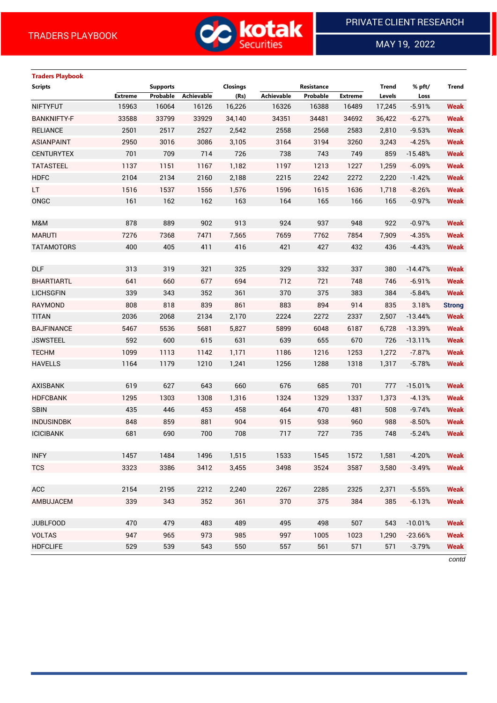

 $\overline{a}$ 

MAY 19, 2022

# **Traders Playbook Scripts Supports Closings Resistance Trend % pft/ Trend Extreme Probable Achievable (Rs) Achievable Probable Extreme Levels Loss** NIFTYFUT 15963 16064 16126 16,226 16326 16388 16489 17,245 -5.91% **Weak** BANKNIFTY-F 33588 33799 33929 34,140 34351 34481 34692 36,422 -6.27% **Weak** RELIANCE 2501 2517 2527 2,542 2558 2568 2583 2,810 -9.53% **Weak** ASIANPAINT 2950 3016 3086 3,105 3164 3194 3260 3,243 -4.25% **Weak** CENTURYTEX 701 709 714 726 738 743 749 859 -15.48% **Weak** TATASTEEL 1137 1151 1167 1,182 1197 1213 1227 1,259 -6.09% **Weak** HDFC 2104 2134 2160 2,188 2215 2242 2272 2,220 -1.42% **Weak** LT 1516 1537 1556 1,576 1596 1615 1636 1,718 -8.26% **Weak** ONGC 161 162 162 163 164 165 166 165 -0.97% **Weak** M&M 878 889 902 913 924 937 948 922 -0.97% **Weak** MARUTI 7276 7368 7471 7,565 7659 7762 7854 7,909 -4.35% **Weak** TATAMOTORS 400 405 411 416 421 427 432 436 -4.43% **Weak** DLF 313 319 321 325 329 332 337 380 -14.47% **Weak** BHARTIARTL 641 660 677 694 712 721 748 746 -6.91% **Weak** LICHSGFIN 339 343 352 361 370 375 383 384 -5.84% **Weak** RAYMOND 808 818 839 861 883 894 914 835 3.18% **Strong** TITAN 2036 2068 2134 2,170 2224 2272 2337 2,507 -13.44% **Weak** BAJFINANCE 5467 5536 5681 5,827 5899 6048 6187 6,728 -13.39% **Weak** JSWSTEEL 592 600 615 631 639 655 670 726 -13.11% **Weak** TECHM 1099 1113 1142 1,171 1186 1216 1253 1,272 -7.87% **Weak** HAVELLS 1164 1179 1210 1,241 1256 1288 1318 1,317 -5.78% **Weak** AXISBANK 619 627 643 660 676 685 701 777 -15.01% **Weak** HDFCBANK 1295 1303 1308 1,316 1324 1329 1337 1,373 -4.13% **Weak** SBIN 435 446 453 458 464 470 481 508 -9.74% **Weak** INDUSINDBK 848 859 881 904 915 938 960 988 -8.50% **Weak** ICICIBANK 681 690 700 708 717 727 735 748 -5.24% **Weak** INFY 1457 1484 1496 1,515 1533 1545 1572 1,581 -4.20% **Weak** TCS 3323 3386 3412 3,455 3498 3524 3587 3,580 -3.49% **Weak** ACC 2154 2195 2212 2,240 2267 2285 2325 2,371 -5.55% **Weak** AMBUJACEM 339 343 352 361 370 375 384 385 -6.13% **Weak** JUBLFOOD 470 479 483 489 495 498 507 543 -10.01% **Weak** VOLTAS 947 965 973 985 997 1005 1023 1,290 -23.66% **Weak** HDFCLIFE 529 539 543 550 557 561 571 571 -3.79% **Weak**

*contd*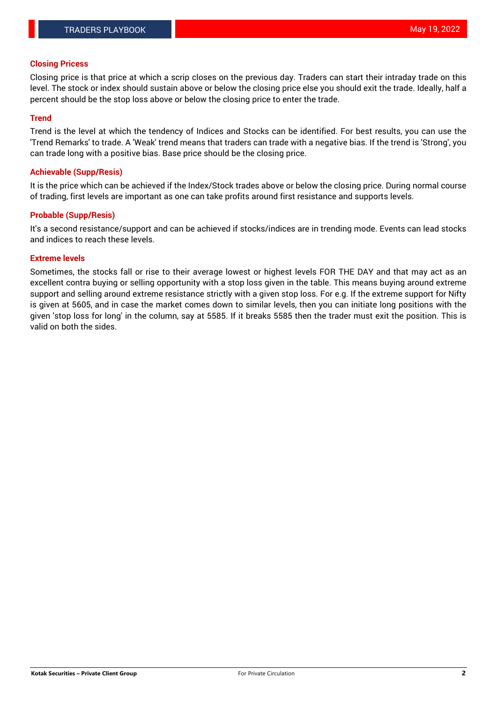## **Closing Pricess**

Closing price is that price at which a scrip closes on the previous day. Traders can start their intraday trade on this level. The stock or index should sustain above or below the closing price else you should exit the trade. Ideally, half a percent should be the stop loss above or below the closing price to enter the trade.

## **Trend**

Trend is the level at which the tendency of Indices and Stocks can be identified. For best results, you can use the 'Trend Remarks' to trade. A 'Weak' trend means that traders can trade with a negative bias. If the trend is 'Strong', you can trade long with a positive bias. Base price should be the closing price.

## **Achievable (Supp/Resis)**

It is the price which can be achieved if the Index/Stock trades above or below the closing price. During normal course of trading, first levels are important as one can take profits around first resistance and supports levels.

## **Probable (Supp/Resis)**

It's a second resistance/support and can be achieved if stocks/indices are in trending mode. Events can lead stocks and indices to reach these levels.

### **Extreme levels**

Sometimes, the stocks fall or rise to their average lowest or highest levels FOR THE DAY and that may act as an excellent contra buying or selling opportunity with a stop loss given in the table. This means buying around extreme support and selling around extreme resistance strictly with a given stop loss. For e.g. If the extreme support for Nifty is given at 5605, and in case the market comes down to similar levels, then you can initiate long positions with the given 'stop loss for long' in the column, say at 5585. If it breaks 5585 then the trader must exit the position. This is valid on both the sides.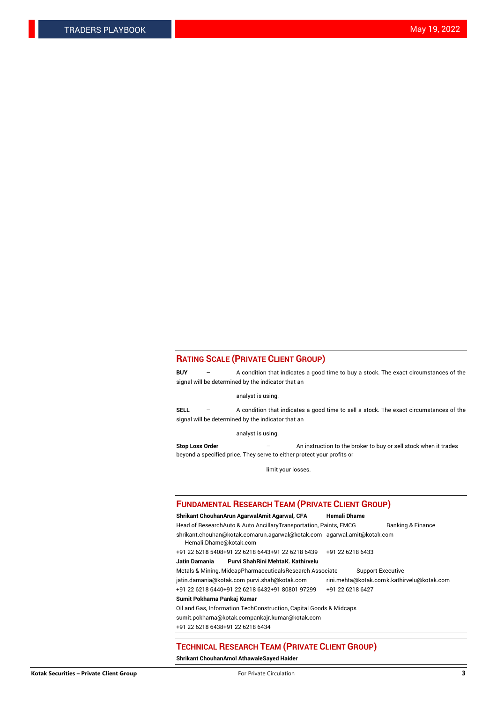## **RATING SCALE (PRIVATE CLIENT GROUP)**

**BUY** – A condition that indicates a good time to buy a stock. The exact circumstances of the signal will be determined by the indicator that an

analyst is using.

**SELL** – A condition that indicates a good time to sell a stock. The exact circumstances of the signal will be determined by the indicator that an

analyst is using.

**Stop Loss Order** – An instruction to the broker to buy or sell stock when it trades beyond a specified price. They serve to either protect your profits or

limit your losses.

### **FUNDAMENTAL RESEARCH TEAM (PRIVATE CLIENT GROUP)**

**Shrikant ChouhanArun AgarwalAmit Agarwal, CFA Hemali Dhame** Head of ResearchAuto & Auto AncillaryTransportation, Paints, FMCG Banking & Finance shrikant.chouhan@kotak.comarun.agarwal@kotak.com agarwal.amit@kotak.com Hemali.Dhame@kotak.com +91 22 6218 5408+91 22 6218 6443+91 22 6218 6439 +91 22 6218 6433 **Jatin Damania Purvi ShahRini MehtaK. Kathirvelu** Metals & Mining, MidcapPharmaceuticalsResearch Associate Support Executive jatin.damania@kotak.com [purvi.shah@kotak.com](mailto:purvi.shah@kotak.com) rini.mehta@kotak.co[mk.kathirvelu@kotak.com](mailto:k.kathirvelu@kotak.com) +91 22 6218 6440+91 22 6218 6432+91 80801 97299 +91 22 6218 6427 **Sumit Pokharna Pankaj Kumar**

Oil and Gas, Information TechConstruction, Capital Goods & Midcaps

sumit.pokharna@kotak.compankajr.kumar@kotak.com

+91 22 6218 6438+91 22 6218 6434

### **TECHNICAL RESEARCH TEAM (PRIVATE CLIENT GROUP)**

**Shrikant ChouhanAmol AthawaleSayed Haider**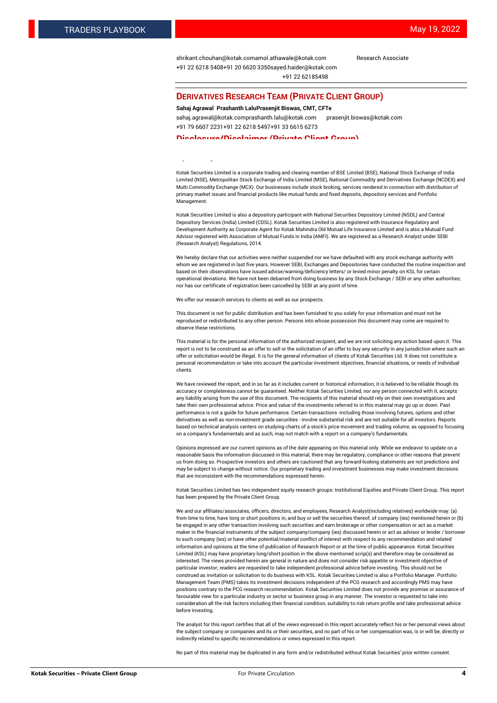[shrikant.chouhan@kotak.com](mailto:shrikant.chouhan@kotak.com)[amol.athawale@kotak.com](mailto:amol.athawale@kotak.com) Research Associate +91 22 6218 5408+91 20 6620 335[0sayed.haider@kotak.com](mailto:sayed.haider@kotak.com) +91 22 62185498

### **DERIVATIVES RESEARCH TEAM (PRIVATE CLIENT GROUP)**

### **Sahaj Agrawal Prashanth LaluPrasenjit Biswas, CMT, CFTe**

[sahaj.agrawal@kotak.com](mailto:sahaj.agrawal@kotak.com)[prashanth.lalu@kotak.com](mailto:prashanth.lalu@kotak.com) [prasenjit.biswas@kotak.com](mailto:prasenjit.biswas@kotak.com) +91 79 6607 2231+91 22 6218 5497+91 33 6615 6273

### **Disclosure/Disclaimer (Private Client Group)**

largest brokerage and distribution house.

Kotak Securities Limited is a corporate trading and clearing member of BSE Limited (BSE), National Stock Exchange of India Limited (NSE), Metropolitan Stock Exchange of India Limited (MSE), National Commodity and Derivatives Exchange (NCDEX) and Multi Commodity Exchange (MCX). Our businesses include stock broking, services rendered in connection with distribution of primary market issues and financial products like mutual funds and fixed deposits, depository services and Portfolio Management.

Kotak Securities Limited is also a depository participant with National Securities Depository Limited (NSDL) and Central Depository Services (India) Limited (CDSL). Kotak Securities Limited is also registered with Insurance Regulatory and Development Authority as Corporate Agent for Kotak Mahindra Old Mutual Life Insurance Limited and is also a Mutual Fund Advisor registered with Association of Mutual Funds in India (AMFI). We are registered as a Research Analyst under SEBI (Research Analyst) Regulations, 2014.

We hereby declare that our activities were neither suspended nor we have defaulted with any stock exchange authority with whom we are registered in last five years. However SEBI, Exchanges and Depositories have conducted the routine inspection and based on their observations have issued advise/warning/deficiency letters/ or levied minor penalty on KSL for certain operational deviations. We have not been debarred from doing business by any Stock Exchange / SEBI or any other authorities; nor has our certificate of registration been cancelled by SEBI at any point of time.

We offer our research services to clients as well as our prospects.

This document is not for public distribution and has been furnished to you solely for your information and must not be reproduced or redistributed to any other person. Persons into whose possession this document may come are required to observe these restrictions.

This material is for the personal information of the authorized recipient, and we are not soliciting any action based upon it. This report is not to be construed as an offer to sell or the solicitation of an offer to buy any security in any jurisdiction where such an offer or solicitation would be illegal. It is for the general information of clients of Kotak Securities Ltd. It does not constitute a personal recommendation or take into account the particular investment objectives, financial situations, or needs of individual clients.

We have reviewed the report, and in so far as it includes current or historical information, it is believed to be reliable though its accuracy or completeness cannot be guaranteed. Neither Kotak Securities Limited, nor any person connected with it, accepts any liability arising from the use of this document. The recipients of this material should rely on their own investigations and take their own professional advice. Price and value of the investments referred to in this material may go up or down. Past performance is not a guide for future performance. Certain transactions -including those involving futures, options and other derivatives as well as non-investment grade securities - involve substantial risk and are not suitable for all investors. Reports based on technical analysis centers on studying charts of a stock's price movement and trading volume, as opposed to focusing on a company's fundamentals and as such, may not match with a report on a company's fundamentals.

Opinions expressed are our current opinions as of the date appearing on this material only. While we endeavor to update on a reasonable basis the information discussed in this material, there may be regulatory, compliance or other reasons that prevent us from doing so. Prospective investors and others are cautioned that any forward-looking statements are not predictions and may be subject to change without notice. Our proprietary trading and investment businesses may make investment decisions that are inconsistent with the recommendations expressed herein.

Kotak Securities Limited has two independent equity research groups: Institutional Equities and Private Client Group. This report has been prepared by the Private Client Group.

We and our affiliates/associates, officers, directors, and employees, Research Analyst(including relatives) worldwide may: (a) from time to time, have long or short positions in, and buy or sell the securities thereof, of company (ies) mentioned herein or (b) be engaged in any other transaction involving such securities and earn brokerage or other compensation or act as a market maker in the financial instruments of the subject company/company (ies) discussed herein or act as advisor or lender / borrower to such company (ies) or have other potential/material conflict of interest with respect to any recommendation and related information and opinions at the time of publication of Research Report or at the time of public appearance. Kotak Securities Limited (KSL) may have proprietary long/short position in the above mentioned scrip(s) and therefore may be considered as interested. The views provided herein are general in nature and does not consider risk appetite or investment objective of particular investor; readers are requested to take independent professional advice before investing. This should not be construed as invitation or solicitation to do business with KSL. Kotak Securities Limited is also a Portfolio Manager. Portfolio Management Team (PMS) takes its investment decisions independent of the PCG research and accordingly PMS may have positions contrary to the PCG research recommendation. Kotak Securities Limited does not provide any promise or assurance of favourable view for a particular industry or sector or business group in any manner. The investor is requested to take into consideration all the risk factors including their financial condition, suitability to risk return profile and take professional advice before investing.

The analyst for this report certifies that all of the views expressed in this report accurately reflect his or her personal views about the subject company or companies and its or their securities, and no part of his or her compensation was, is or will be, directly or indirectly related to specific recommendations or views expressed in this report.

No part of this material may be duplicated in any form and/or redistributed without Kotak Securities' prior written consent.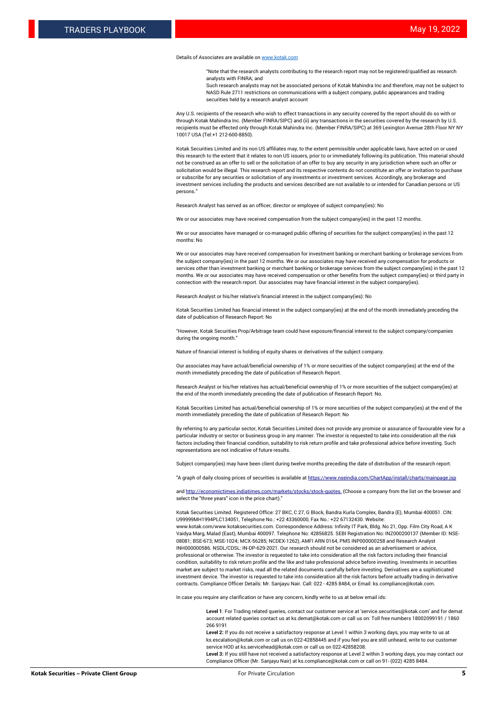### Details of Associates are available o[n www.kotak.com](http://www.kotak.com/)

"Note that the research analysts contributing to the research report may not be registered/qualified as research analysts with FINRA; and

Such research analysts may not be associated persons of Kotak Mahindra Inc and therefore, may not be subject to NASD Rule 2711 restrictions on communications with a subject company, public appearances and trading securities held by a research analyst account

Any U.S. recipients of the research who wish to effect transactions in any security covered by the report should do so with or through Kotak Mahindra Inc. (Member FINRA/SIPC) and (ii) any transactions in the securities covered by the research by U.S. recipients must be effected only through Kotak Mahindra Inc. (Member FINRA/SIPC) at 369 Lexington Avenue 28th Floor NY NY 10017 USA (Tel:+1 212-600-8850).

Kotak Securities Limited and its non US affiliates may, to the extent permissible under applicable laws, have acted on or used this research to the extent that it relates to non US issuers, prior to or immediately following its publication. This material should not be construed as an offer to sell or the solicitation of an offer to buy any security in any jurisdiction where such an offer or solicitation would be illegal. This research report and its respective contents do not constitute an offer or invitation to purchase or subscribe for any securities or solicitation of any investments or investment services. Accordingly, any brokerage and investment services including the products and services described are not available to or intended for Canadian persons or US persons."

Research Analyst has served as an officer, director or employee of subject company(ies): No

We or our associates may have received compensation from the subject company(ies) in the past 12 months.

We or our associates have managed or co-managed public offering of securities for the subject company(ies) in the past 12 months: No

We or our associates may have received compensation for investment banking or merchant banking or brokerage services from the subject company(ies) in the past 12 months. We or our associates may have received any compensation for products or services other than investment banking or merchant banking or brokerage services from the subject company(ies) in the past 12 months. We or our associates may have received compensation or other benefits from the subject company(ies) or third party in connection with the research report. Our associates may have financial interest in the subject company(ies).

Research Analyst or his/her relative's financial interest in the subject company(ies): No

Kotak Securities Limited has financial interest in the subject company(ies) at the end of the month immediately preceding the date of publication of Research Report: No

"However, Kotak Securities Prop/Arbitrage team could have exposure/financial interest to the subject company/companies during the ongoing month."

Nature of financial interest is holding of equity shares or derivatives of the subject company.

Our associates may have actual/beneficial ownership of 1% or more securities of the subject company(ies) at the end of the month immediately preceding the date of publication of Research Report.

Research Analyst or his/her relatives has actual/beneficial ownership of 1% or more securities of the subject company(ies) at the end of the month immediately preceding the date of publication of Research Report: No.

Kotak Securities Limited has actual/beneficial ownership of 1% or more securities of the subject company(ies) at the end of the month immediately preceding the date of publication of Research Report: No

By referring to any particular sector, Kotak Securities Limited does not provide any promise or assurance of favourable view for a particular industry or sector or business group in any manner. The investor is requested to take into consideration all the risk factors including their financial condition, suitability to risk return profile and take professional advice before investing. Such representations are not indicative of future results.

Subject company(ies) may have been client during twelve months preceding the date of distribution of the research report.

"A graph of daily closing prices of securities is available at https://www.nseindia.com/ChartApp/install/charts/main

and http://economictimes.indiatimes.com/markets/stocks/stock-quotes. (Choose a company from the list on the browser and select the "three years" icon in the price chart)."

Kotak Securities Limited. Registered Office: 27 BKC, C 27, G Block, Bandra Kurla Complex, Bandra (E), Mumbai 400051. CIN: U99999MH1994PLC134051, Telephone No.: +22 43360000, Fax No.: +22 67132430. Website:

www.kotak.com/www.kotaksecurities.com. Correspondence Address: Infinity IT Park, Bldg. No 21, Opp. Film City Road, A K Vaidya Marg, Malad (East), Mumbai 400097. Telephone No: 42856825. SEBI Registration No: INZ000200137 (Member ID: NSE-08081; BSE-673; MSE-1024; MCX-56285; NCDEX-1262), AMFI ARN 0164, PMS INP000000258 and Research Analyst INH000000586. NSDL/CDSL: IN-DP-629-2021. Our research should not be considered as an advertisement or advice, professional or otherwise. The investor is requested to take into consideration all the risk factors including their financial condition, suitability to risk return profile and the like and take professional advice before investing. Investments in securities market are subject to market risks, read all the related documents carefully before investing. Derivatives are a sophisticated investment device. The investor is requested to take into consideration all the risk factors before actually trading in derivative contracts. Compliance Officer Details: Mr. Sanjayu Nair. Call: 022 - 4285 8484, or Email: ks.compliance@kotak.com.

In case you require any clarification or have any concern, kindly write to us at below email ids:

**Level 1**: For Trading related queries, contact our customer service at 'service.securities@kotak.com' and for demat account related queries contact us at ks.demat@kotak.com or call us on: Toll free numbers 18002099191 / 1860 266 9191

**Level 2:** If you do not receive a satisfactory response at Level 1 within 3 working days, you may write to us at ks.escalation@kotak.com or call us on 022-42858445 and if you feel you are still unheard, write to our customer service HOD at ks.servicehead@kotak.com or call us on 022-42858208.

**Level 3:** If you still have not received a satisfactory response at Level 2 within 3 working days, you may contact our Compliance Officer (Mr. Sanjayu Nair) at ks.compliance@kotak.com or call on 91- (022) 4285 8484.